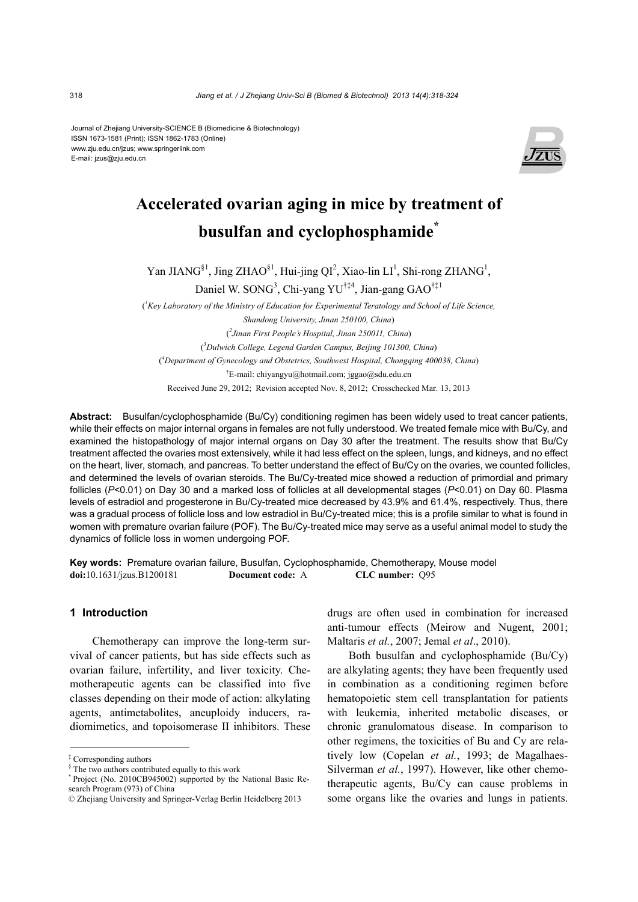Journal of Zhejiang University-SCIENCE B (Biomedicine & Biotechnology) ISSN 1673-1581 (Print); ISSN 1862-1783 (Online) www.zju.edu.cn/jzus; www.springerlink.com E-mail: jzus@zju.edu.cn



# **Accelerated ovarian aging in mice by treatment of busulfan and cyclophosphamide\***

Yan JIANG<sup>§1</sup>, Jing ZHAO<sup>§1</sup>, Hui-jing QI<sup>2</sup>, Xiao-lin LI<sup>1</sup>, Shi-rong ZHANG<sup>1</sup>,

Daniel W. SONG<sup>3</sup>, Chi-yang YU<sup>†‡4</sup>, Jian-gang GAO<sup>†‡1</sup>

( *1 Key Laboratory of the Ministry of Education for Experimental Teratology and School of Life Science, Shandong University, Jinan 250100, China*) ( *2 Jinan First People's Hospital, Jinan 250011, China*) ( *3 Dulwich College, Legend Garden Campus, Beijing 101300, China*) ( *4 Department of Gynecology and Obstetrics, Southwest Hospital, Chongqing 400038, China*) † E-mail: chiyangyu@hotmail.com; jggao@sdu.edu.cn Received June 29, 2012; Revision accepted Nov. 8, 2012; Crosschecked Mar. 13, 2013

**Abstract:** Busulfan/cyclophosphamide (Bu/Cy) conditioning regimen has been widely used to treat cancer patients, while their effects on major internal organs in females are not fully understood. We treated female mice with Bu/Cy, and examined the histopathology of major internal organs on Day 30 after the treatment. The results show that Bu/Cy treatment affected the ovaries most extensively, while it had less effect on the spleen, lungs, and kidneys, and no effect on the heart, liver, stomach, and pancreas. To better understand the effect of Bu/Cy on the ovaries, we counted follicles, and determined the levels of ovarian steroids. The Bu/Cy-treated mice showed a reduction of primordial and primary follicles (*P*<0.01) on Day 30 and a marked loss of follicles at all developmental stages (*P*<0.01) on Day 60. Plasma levels of estradiol and progesterone in Bu/Cy-treated mice decreased by 43.9% and 61.4%, respectively. Thus, there was a gradual process of follicle loss and low estradiol in Bu/Cy-treated mice; this is a profile similar to what is found in women with premature ovarian failure (POF). The Bu/Cy-treated mice may serve as a useful animal model to study the dynamics of follicle loss in women undergoing POF.

**Key words:** Premature ovarian failure, Busulfan, Cyclophosphamide, Chemotherapy, Mouse model **doi:**10.1631/jzus.B1200181 **Document code:** A **CLC number:** Q95

### **1 Introduction**

Chemotherapy can improve the long-term survival of cancer patients, but has side effects such as ovarian failure, infertility, and liver toxicity. Chemotherapeutic agents can be classified into five classes depending on their mode of action: alkylating agents, antimetabolites, aneuploidy inducers, radiomimetics, and topoisomerase II inhibitors. These drugs are often used in combination for increased anti-tumour effects (Meirow and Nugent, 2001; Maltaris *et al.*, 2007; Jemal *et al*., 2010).

Both busulfan and cyclophosphamide (Bu/Cy) are alkylating agents; they have been frequently used in combination as a conditioning regimen before hematopoietic stem cell transplantation for patients with leukemia, inherited metabolic diseases, or chronic granulomatous disease. In comparison to other regimens, the toxicities of Bu and Cy are relatively low (Copelan *et al.*, 1993; de Magalhaes-Silverman *et al.*, 1997). However, like other chemotherapeutic agents, Bu/Cy can cause problems in some organs like the ovaries and lungs in patients.

<sup>‡</sup> Corresponding authors

<sup>§</sup> The two authors contributed equally to this work

<sup>\*</sup> Project (No. 2010CB945002) supported by the National Basic Research Program (973) of China

<sup>©</sup> Zhejiang University and Springer-Verlag Berlin Heidelberg 2013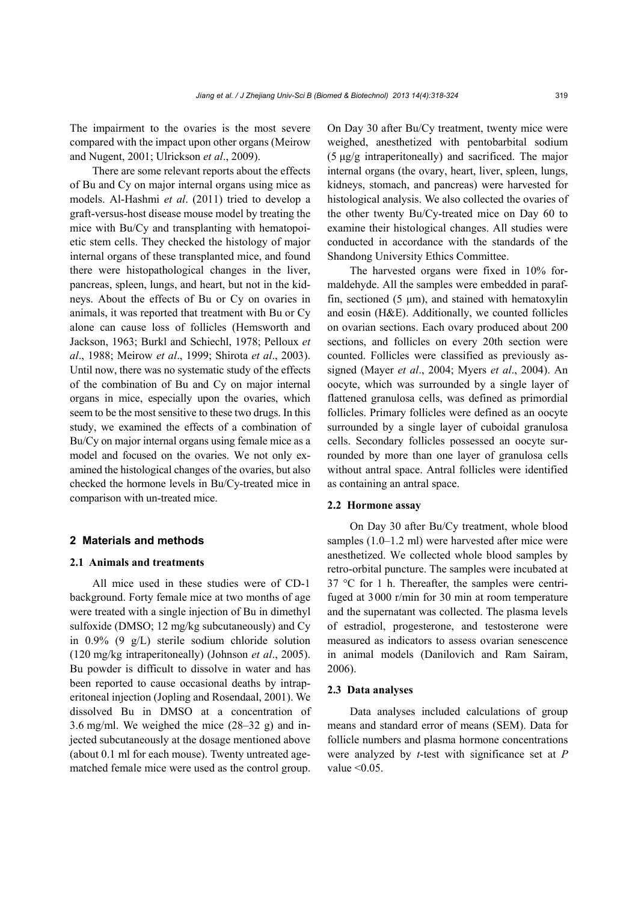The impairment to the ovaries is the most severe compared with the impact upon other organs (Meirow and Nugent, 2001; Ulrickson *et al*., 2009).

There are some relevant reports about the effects of Bu and Cy on major internal organs using mice as models. Al-Hashmi *et al*. (2011) tried to develop a graft-versus-host disease mouse model by treating the mice with Bu/Cy and transplanting with hematopoietic stem cells. They checked the histology of major internal organs of these transplanted mice, and found there were histopathological changes in the liver, pancreas, spleen, lungs, and heart, but not in the kidneys. About the effects of Bu or Cy on ovaries in animals, it was reported that treatment with Bu or Cy alone can cause loss of follicles (Hemsworth and Jackson, 1963; Burkl and Schiechl, 1978; Pelloux *et al*., 1988; Meirow *et al*., 1999; Shirota *et al*., 2003). Until now, there was no systematic study of the effects of the combination of Bu and Cy on major internal organs in mice, especially upon the ovaries, which seem to be the most sensitive to these two drugs. In this study, we examined the effects of a combination of Bu/Cy on major internal organs using female mice as a model and focused on the ovaries. We not only examined the histological changes of the ovaries, but also checked the hormone levels in Bu/Cy-treated mice in comparison with un-treated mice.

#### **2 Materials and methods**

### **2.1 Animals and treatments**

All mice used in these studies were of CD-1 background. Forty female mice at two months of age were treated with a single injection of Bu in dimethyl sulfoxide (DMSO; 12 mg/kg subcutaneously) and Cy in 0.9% (9 g/L) sterile sodium chloride solution (120 mg/kg intraperitoneally) (Johnson *et al*., 2005). Bu powder is difficult to dissolve in water and has been reported to cause occasional deaths by intraperitoneal injection (Jopling and Rosendaal, 2001). We dissolved Bu in DMSO at a concentration of 3.6 mg/ml. We weighed the mice (28–32 g) and injected subcutaneously at the dosage mentioned above (about 0.1 ml for each mouse). Twenty untreated agematched female mice were used as the control group.

On Day 30 after Bu/Cy treatment, twenty mice were weighed, anesthetized with pentobarbital sodium (5 μg/g intraperitoneally) and sacrificed. The major internal organs (the ovary, heart, liver, spleen, lungs, kidneys, stomach, and pancreas) were harvested for histological analysis. We also collected the ovaries of the other twenty Bu/Cy-treated mice on Day 60 to examine their histological changes. All studies were conducted in accordance with the standards of the Shandong University Ethics Committee.

The harvested organs were fixed in 10% formaldehyde. All the samples were embedded in paraffin, sectioned  $(5 \mu m)$ , and stained with hematoxylin and eosin (H&E). Additionally, we counted follicles on ovarian sections. Each ovary produced about 200 sections, and follicles on every 20th section were counted. Follicles were classified as previously assigned (Mayer *et al*., 2004; Myers *et al*., 2004). An oocyte, which was surrounded by a single layer of flattened granulosa cells, was defined as primordial follicles. Primary follicles were defined as an oocyte surrounded by a single layer of cuboidal granulosa cells. Secondary follicles possessed an oocyte surrounded by more than one layer of granulosa cells without antral space. Antral follicles were identified as containing an antral space.

## **2.2 Hormone assay**

On Day 30 after Bu/Cy treatment, whole blood samples (1.0–1.2 ml) were harvested after mice were anesthetized. We collected whole blood samples by retro-orbital puncture. The samples were incubated at 37 °C for 1 h. Thereafter, the samples were centrifuged at 3000 r/min for 30 min at room temperature and the supernatant was collected. The plasma levels of estradiol, progesterone, and testosterone were measured as indicators to assess ovarian senescence in animal models (Danilovich and Ram Sairam, 2006).

### **2.3 Data analyses**

Data analyses included calculations of group means and standard error of means (SEM). Data for follicle numbers and plasma hormone concentrations were analyzed by *t*-test with significance set at *P*  value  $< 0.05$ .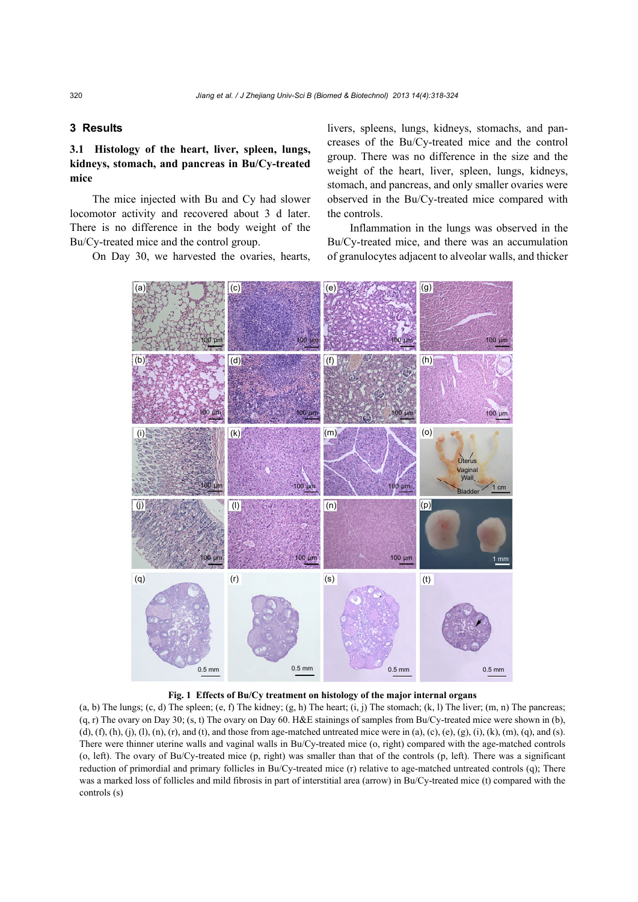# **3 Results**

# **3.1 Histology of the heart, liver, spleen, lungs, kidneys, stomach, and pancreas in Bu/Cy-treated mice**

The mice injected with Bu and Cy had slower locomotor activity and recovered about 3 d later. There is no difference in the body weight of the Bu/Cy-treated mice and the control group.

On Day 30, we harvested the ovaries, hearts,

livers, spleens, lungs, kidneys, stomachs, and pancreases of the Bu/Cy-treated mice and the control group. There was no difference in the size and the weight of the heart, liver, spleen, lungs, kidneys, stomach, and pancreas, and only smaller ovaries were observed in the Bu/Cy-treated mice compared with the controls.

Inflammation in the lungs was observed in the Bu/Cy-treated mice, and there was an accumulation of granulocytes adjacent to alveolar walls, and thicker



## **Fig. 1 Effects of Bu/Cy treatment on histology of the major internal organs**

 $(a, b)$  The lungs;  $(c, d)$  The spleen;  $(e, f)$  The kidney;  $(g, h)$  The heart;  $(i, j)$  The stomach;  $(k, l)$  The liver;  $(m, n)$  The pancreas; (q, r) The ovary on Day 30; (s, t) The ovary on Day 60. H&E stainings of samples from Bu/Cy-treated mice were shown in (b), (d), (f), (h), (j), (l), (n), (r), and (t), and those from age-matched untreated mice were in (a), (c), (e), (g), (i), (k), (m), (q), and (s). There were thinner uterine walls and vaginal walls in Bu/Cy-treated mice (o, right) compared with the age-matched controls (o, left). The ovary of Bu/Cy-treated mice (p, right) was smaller than that of the controls (p, left). There was a significant reduction of primordial and primary follicles in Bu/Cy-treated mice (r) relative to age-matched untreated controls (q); There was a marked loss of follicles and mild fibrosis in part of interstitial area (arrow) in Bu/Cy-treated mice (t) compared with the controls (s)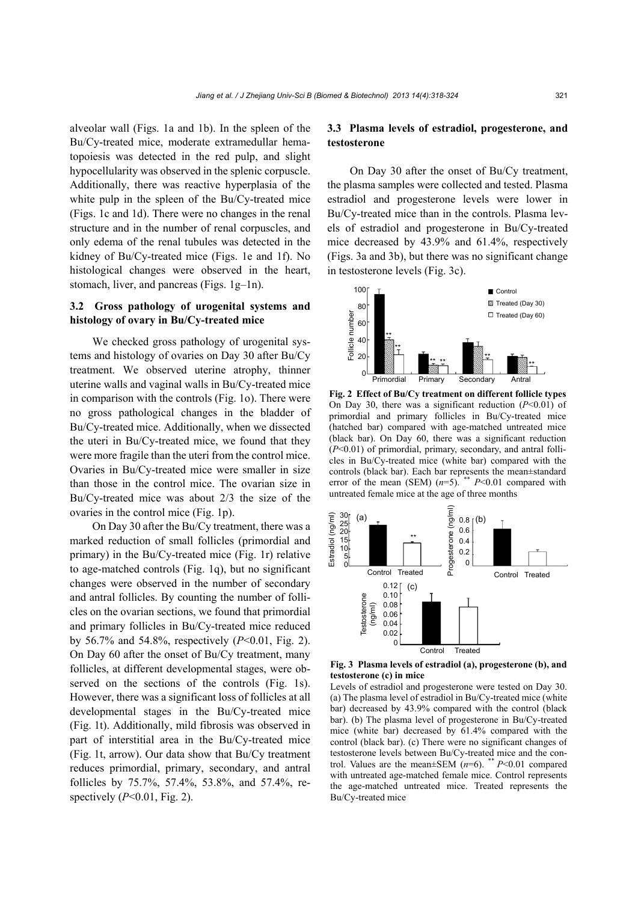alveolar wall (Figs. 1a and 1b). In the spleen of the Bu/Cy-treated mice, moderate extramedullar hematopoiesis was detected in the red pulp, and slight hypocellularity was observed in the splenic corpuscle. Additionally, there was reactive hyperplasia of the white pulp in the spleen of the Bu/Cy-treated mice (Figs. 1c and 1d). There were no changes in the renal structure and in the number of renal corpuscles, and only edema of the renal tubules was detected in the kidney of Bu/Cy-treated mice (Figs. 1e and 1f). No histological changes were observed in the heart, stomach, liver, and pancreas (Figs. 1g–1n).

## **3.2 Gross pathology of urogenital systems and histology of ovary in Bu/Cy-treated mice**

We checked gross pathology of urogenital systems and histology of ovaries on Day 30 after Bu/Cy treatment. We observed uterine atrophy, thinner uterine walls and vaginal walls in Bu/Cy-treated mice in comparison with the controls (Fig. 1o). There were no gross pathological changes in the bladder of Bu/Cy-treated mice. Additionally, when we dissected the uteri in Bu/Cy-treated mice, we found that they were more fragile than the uteri from the control mice. Ovaries in Bu/Cy-treated mice were smaller in size than those in the control mice. The ovarian size in Bu/Cy-treated mice was about 2/3 the size of the ovaries in the control mice (Fig. 1p).

On Day 30 after the Bu/Cy treatment, there was a marked reduction of small follicles (primordial and primary) in the Bu/Cy-treated mice (Fig. 1r) relative to age-matched controls (Fig. 1q), but no significant changes were observed in the number of secondary and antral follicles. By counting the number of follicles on the ovarian sections, we found that primordial and primary follicles in Bu/Cy-treated mice reduced by 56.7% and 54.8%, respectively (*P*<0.01, Fig. 2). On Day 60 after the onset of Bu/Cy treatment, many follicles, at different developmental stages, were observed on the sections of the controls (Fig. 1s). However, there was a significant loss of follicles at all developmental stages in the Bu/Cy-treated mice (Fig. 1t). Additionally, mild fibrosis was observed in part of interstitial area in the Bu/Cy-treated mice (Fig. 1t, arrow). Our data show that Bu/Cy treatment reduces primordial, primary, secondary, and antral follicles by 75.7%, 57.4%, 53.8%, and 57.4%, respectively (*P*<0.01, Fig. 2).

## **3.3 Plasma levels of estradiol, progesterone, and testosterone**

On Day 30 after the onset of Bu/Cy treatment, the plasma samples were collected and tested. Plasma estradiol and progesterone levels were lower in Bu/Cy-treated mice than in the controls. Plasma levels of estradiol and progesterone in Bu/Cy-treated mice decreased by 43.9% and 61.4%, respectively (Figs. 3a and 3b), but there was no significant change in testosterone levels (Fig. 3c).



**Fig. 2 Effect of Bu/Cy treatment on different follicle types** On Day 30, there was a significant reduction (*P*<0.01) of primordial and primary follicles in Bu/Cy-treated mice (hatched bar) compared with age-matched untreated mice (black bar). On Day 60, there was a significant reduction (*P*<0.01) of primordial, primary, secondary, and antral follicles in Bu/Cy-treated mice (white bar) compared with the controls (black bar). Each bar represents the mean±standard error of the mean (SEM) (*n*=5). \*\* *P*<0.01 compared with untreated female mice at the age of three months



**Fig. 3 Plasma levels of estradiol (a), progesterone (b), and testosterone (c) in mice** 

Levels of estradiol and progesterone were tested on Day 30. (a) The plasma level of estradiol in Bu/Cy-treated mice (white bar) decreased by 43.9% compared with the control (black bar). (b) The plasma level of progesterone in Bu/Cy-treated mice (white bar) decreased by 61.4% compared with the control (black bar). (c) There were no significant changes of testosterone levels between Bu/Cy-treated mice and the control. Values are the mean±SEM (*n*=6). \*\* *P*<0.01 compared with untreated age-matched female mice. Control represents the age-matched untreated mice. Treated represents the Bu/Cy-treated mice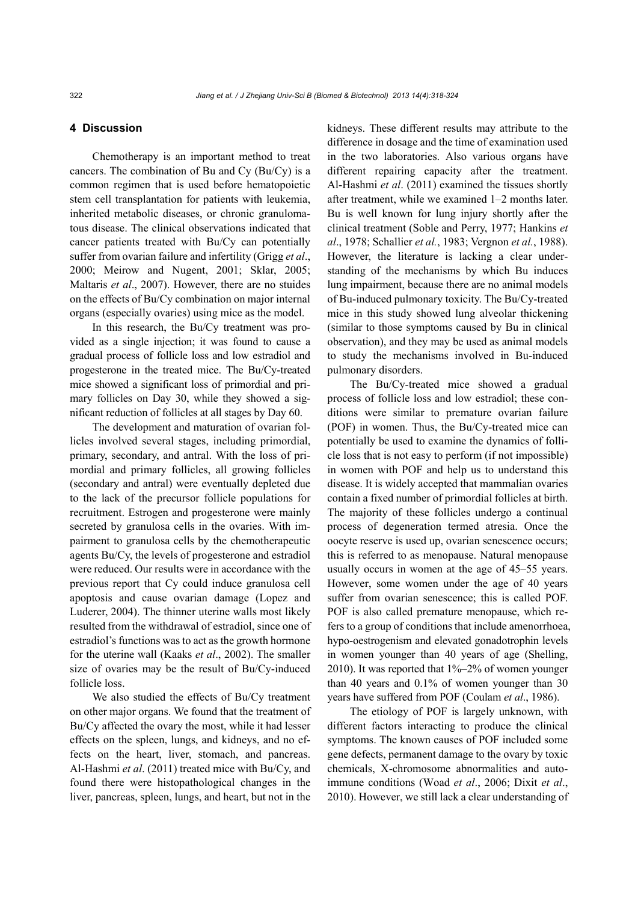## **4 Discussion**

Chemotherapy is an important method to treat cancers. The combination of Bu and Cy (Bu/Cy) is a common regimen that is used before hematopoietic stem cell transplantation for patients with leukemia, inherited metabolic diseases, or chronic granulomatous disease. The clinical observations indicated that cancer patients treated with Bu/Cy can potentially suffer from ovarian failure and infertility (Grigg *et al*., 2000; Meirow and Nugent, 2001; Sklar, 2005; Maltaris *et al*., 2007). However, there are no stuides on the effects of Bu/Cy combination on major internal organs (especially ovaries) using mice as the model.

In this research, the Bu/Cy treatment was provided as a single injection; it was found to cause a gradual process of follicle loss and low estradiol and progesterone in the treated mice. The Bu/Cy-treated mice showed a significant loss of primordial and primary follicles on Day 30, while they showed a significant reduction of follicles at all stages by Day 60.

The development and maturation of ovarian follicles involved several stages, including primordial, primary, secondary, and antral. With the loss of primordial and primary follicles, all growing follicles (secondary and antral) were eventually depleted due to the lack of the precursor follicle populations for recruitment. Estrogen and progesterone were mainly secreted by granulosa cells in the ovaries. With impairment to granulosa cells by the chemotherapeutic agents Bu/Cy, the levels of progesterone and estradiol were reduced. Our results were in accordance with the previous report that Cy could induce granulosa cell apoptosis and cause ovarian damage (Lopez and Luderer, 2004). The thinner uterine walls most likely resulted from the withdrawal of estradiol, since one of estradiol's functions was to act as the growth hormone for the uterine wall (Kaaks *et al*., 2002). The smaller size of ovaries may be the result of Bu/Cy-induced follicle loss.

We also studied the effects of Bu/Cy treatment on other major organs. We found that the treatment of Bu/Cy affected the ovary the most, while it had lesser effects on the spleen, lungs, and kidneys, and no effects on the heart, liver, stomach, and pancreas. Al-Hashmi *et al*. (2011) treated mice with Bu/Cy, and found there were histopathological changes in the liver, pancreas, spleen, lungs, and heart, but not in the kidneys. These different results may attribute to the difference in dosage and the time of examination used in the two laboratories. Also various organs have different repairing capacity after the treatment. Al-Hashmi *et al*. (2011) examined the tissues shortly after treatment, while we examined 1–2 months later. Bu is well known for lung injury shortly after the clinical treatment (Soble and Perry, 1977; Hankins *et al*., 1978; Schallier *et al.*, 1983; Vergnon *et al.*, 1988). However, the literature is lacking a clear understanding of the mechanisms by which Bu induces lung impairment, because there are no animal models of Bu-induced pulmonary toxicity. The Bu/Cy-treated mice in this study showed lung alveolar thickening (similar to those symptoms caused by Bu in clinical observation), and they may be used as animal models to study the mechanisms involved in Bu-induced pulmonary disorders.

The Bu/Cy-treated mice showed a gradual process of follicle loss and low estradiol; these conditions were similar to premature ovarian failure (POF) in women. Thus, the Bu/Cy-treated mice can potentially be used to examine the dynamics of follicle loss that is not easy to perform (if not impossible) in women with POF and help us to understand this disease. It is widely accepted that mammalian ovaries contain a fixed number of primordial follicles at birth. The majority of these follicles undergo a continual process of degeneration termed atresia. Once the oocyte reserve is used up, ovarian senescence occurs; this is referred to as menopause. Natural menopause usually occurs in women at the age of 45–55 years. However, some women under the age of 40 years suffer from ovarian senescence; this is called POF. POF is also called premature menopause, which refers to a group of conditions that include amenorrhoea, hypo-oestrogenism and elevated gonadotrophin levels in women younger than 40 years of age (Shelling, 2010). It was reported that 1%–2% of women younger than 40 years and 0.1% of women younger than 30 years have suffered from POF (Coulam *et al*., 1986).

The etiology of POF is largely unknown, with different factors interacting to produce the clinical symptoms. The known causes of POF included some gene defects, permanent damage to the ovary by toxic chemicals, X-chromosome abnormalities and autoimmune conditions (Woad *et al*., 2006; Dixit *et al*., 2010). However, we still lack a clear understanding of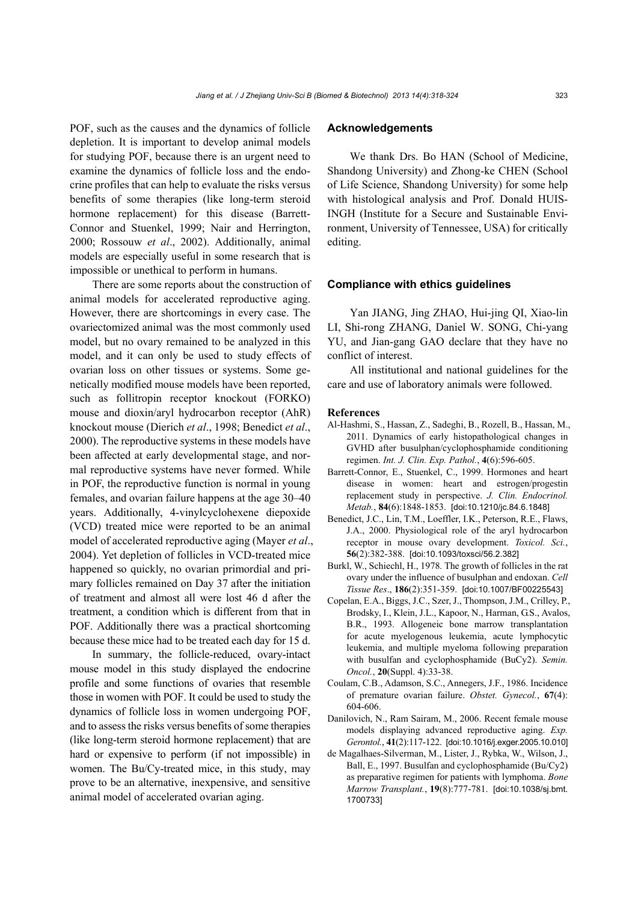POF, such as the causes and the dynamics of follicle depletion. It is important to develop animal models for studying POF, because there is an urgent need to examine the dynamics of follicle loss and the endocrine profiles that can help to evaluate the risks versus benefits of some therapies (like long-term steroid hormone replacement) for this disease (Barrett-Connor and Stuenkel, 1999; Nair and Herrington, 2000; Rossouw *et al*., 2002). Additionally, animal models are especially useful in some research that is impossible or unethical to perform in humans.

There are some reports about the construction of animal models for accelerated reproductive aging. However, there are shortcomings in every case. The ovariectomized animal was the most commonly used model, but no ovary remained to be analyzed in this model, and it can only be used to study effects of ovarian loss on other tissues or systems. Some genetically modified mouse models have been reported, such as follitropin receptor knockout (FORKO) mouse and dioxin/aryl hydrocarbon receptor (AhR) knockout mouse (Dierich *et al*., 1998; Benedict *et al*., 2000). The reproductive systems in these models have been affected at early developmental stage, and normal reproductive systems have never formed. While in POF, the reproductive function is normal in young females, and ovarian failure happens at the age 30–40 years. Additionally, 4-vinylcyclohexene diepoxide (VCD) treated mice were reported to be an animal model of accelerated reproductive aging (Mayer *et al*., 2004). Yet depletion of follicles in VCD-treated mice happened so quickly, no ovarian primordial and primary follicles remained on Day 37 after the initiation of treatment and almost all were lost 46 d after the treatment, a condition which is different from that in POF. Additionally there was a practical shortcoming because these mice had to be treated each day for 15 d.

In summary, the follicle-reduced, ovary-intact mouse model in this study displayed the endocrine profile and some functions of ovaries that resemble those in women with POF. It could be used to study the dynamics of follicle loss in women undergoing POF, and to assess the risks versus benefits of some therapies (like long-term steroid hormone replacement) that are hard or expensive to perform (if not impossible) in women. The Bu/Cy-treated mice, in this study, may prove to be an alternative, inexpensive, and sensitive animal model of accelerated ovarian aging.

## **Acknowledgements**

We thank Drs. Bo HAN (School of Medicine, Shandong University) and Zhong-ke CHEN (School of Life Science, Shandong University) for some help with histological analysis and Prof. Donald HUIS-INGH (Institute for a Secure and Sustainable Environment, University of Tennessee, USA) for critically editing.

#### **Compliance with ethics guidelines**

Yan JIANG, Jing ZHAO, Hui-jing QI, Xiao-lin LI, Shi-rong ZHANG, Daniel W. SONG, Chi-yang YU, and Jian-gang GAO declare that they have no conflict of interest.

All institutional and national guidelines for the care and use of laboratory animals were followed.

#### **References**

- Al-Hashmi, S., Hassan, Z., Sadeghi, B., Rozell, B., Hassan, M., 2011. Dynamics of early histopathological changes in GVHD after busulphan/cyclophosphamide conditioning regimen. *Int. J. Clin. Exp. Pathol.*, **4**(6):596-605.
- Barrett-Connor, E., Stuenkel, C., 1999. Hormones and heart disease in women: heart and estrogen/progestin replacement study in perspective. *J. Clin. Endocrinol. Metab.*, **84**(6):1848-1853. [doi:10.1210/jc.84.6.1848]
- Benedict, J.C., Lin, T.M., Loeffler, I.K., Peterson, R.E., Flaws, J.A., 2000. Physiological role of the aryl hydrocarbon receptor in mouse ovary development. *Toxicol. Sci.*, **56**(2):382-388. [doi:10.1093/toxsci/56.2.382]
- Burkl, W., Schiechl, H., 1978. The growth of follicles in the rat ovary under the influence of busulphan and endoxan. *Cell Tissue Res*., **186**(2):351-359. [doi:10.1007/BF00225543]
- Copelan, E.A., Biggs, J.C., Szer, J., Thompson, J.M., Crilley, P., Brodsky, I., Klein, J.L., Kapoor, N., Harman, G.S., Avalos, B.R., 1993. Allogeneic bone marrow transplantation for acute myelogenous leukemia, acute lymphocytic leukemia, and multiple myeloma following preparation with busulfan and cyclophosphamide (BuCy2). *Semin. Oncol.*, **20**(Suppl. 4):33-38.
- Coulam, C.B., Adamson, S.C., Annegers, J.F., 1986. Incidence of premature ovarian failure. *Obstet. Gynecol.*, **67**(4): 604-606.
- Danilovich, N., Ram Sairam, M., 2006. Recent female mouse models displaying advanced reproductive aging. *Exp. Gerontol.*, **41**(2):117-122. [doi:10.1016/j.exger.2005.10.010]
- de Magalhaes-Silverman, M., Lister, J., Rybka, W., Wilson, J., Ball, E., 1997. Busulfan and cyclophosphamide (Bu/Cy2) as preparative regimen for patients with lymphoma. *Bone Marrow Transplant.*, **19**(8):777-781. [doi:10.1038/sj.bmt. 1700733]